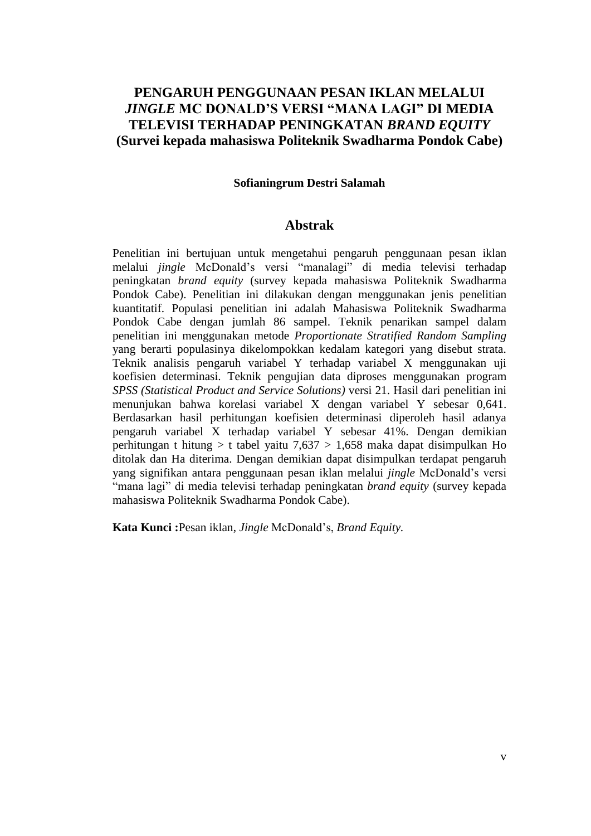## **PENGARUH PENGGUNAAN PESAN IKLAN MELALUI**  *JINGLE* **MC DONALD'S VERSI "MANA LAGI" DI MEDIA TELEVISI TERHADAP PENINGKATAN** *BRAND EQUITY* **(Survei kepada mahasiswa Politeknik Swadharma Pondok Cabe)**

### **Sofianingrum Destri Salamah**

### **Abstrak**

Penelitian ini bertujuan untuk mengetahui pengaruh penggunaan pesan iklan melalui *jingle* McDonald's versi "manalagi" di media televisi terhadap peningkatan *brand equity* (survey kepada mahasiswa Politeknik Swadharma Pondok Cabe). Penelitian ini dilakukan dengan menggunakan jenis penelitian kuantitatif. Populasi penelitian ini adalah Mahasiswa Politeknik Swadharma Pondok Cabe dengan jumlah 86 sampel. Teknik penarikan sampel dalam penelitian ini menggunakan metode *Proportionate Stratified Random Sampling* yang berarti populasinya dikelompokkan kedalam kategori yang disebut strata. Teknik analisis pengaruh variabel Y terhadap variabel X menggunakan uji koefisien determinasi. Teknik pengujian data diproses menggunakan program *SPSS (Statistical Product and Service Solutions)* versi 21. Hasil dari penelitian ini menunjukan bahwa korelasi variabel X dengan variabel Y sebesar 0,641. Berdasarkan hasil perhitungan koefisien determinasi diperoleh hasil adanya pengaruh variabel X terhadap variabel Y sebesar 41%. Dengan demikian perhitungan t hitung > t tabel yaitu 7,637 > 1,658 maka dapat disimpulkan Ho ditolak dan Ha diterima. Dengan demikian dapat disimpulkan terdapat pengaruh yang signifikan antara penggunaan pesan iklan melalui *jingle* McDonald's versi "mana lagi" di media televisi terhadap peningkatan *brand equity* (survey kepada mahasiswa Politeknik Swadharma Pondok Cabe).

**Kata Kunci :**Pesan iklan, *Jingle* McDonald's, *Brand Equity.*